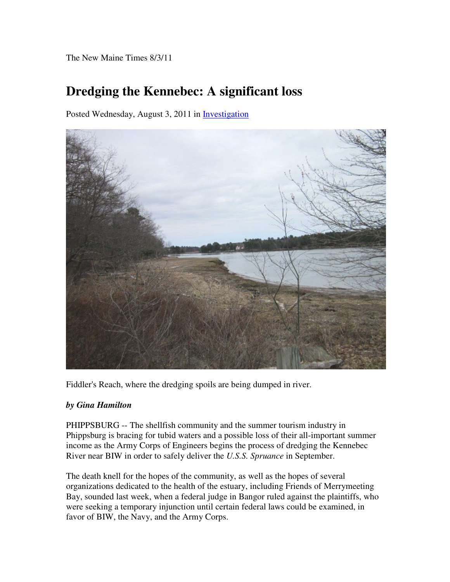The New Maine Times 8/3/11

## **Dredging the Kennebec: A significant loss**

Posted Wednesday, August 3, 2011 in Investigation



Fiddler's Reach, where the dredging spoils are being dumped in river.

## *by Gina Hamilton*

PHIPPSBURG -- The shellfish community and the summer tourism industry in Phippsburg is bracing for tubid waters and a possible loss of their all-important summer income as the Army Corps of Engineers begins the process of dredging the Kennebec River near BIW in order to safely deliver the *U.S.S. Spruance* in September.

The death knell for the hopes of the community, as well as the hopes of several organizations dedicated to the health of the estuary, including Friends of Merrymeeting Bay, sounded last week, when a federal judge in Bangor ruled against the plaintiffs, who were seeking a temporary injunction until certain federal laws could be examined, in favor of BIW, the Navy, and the Army Corps.